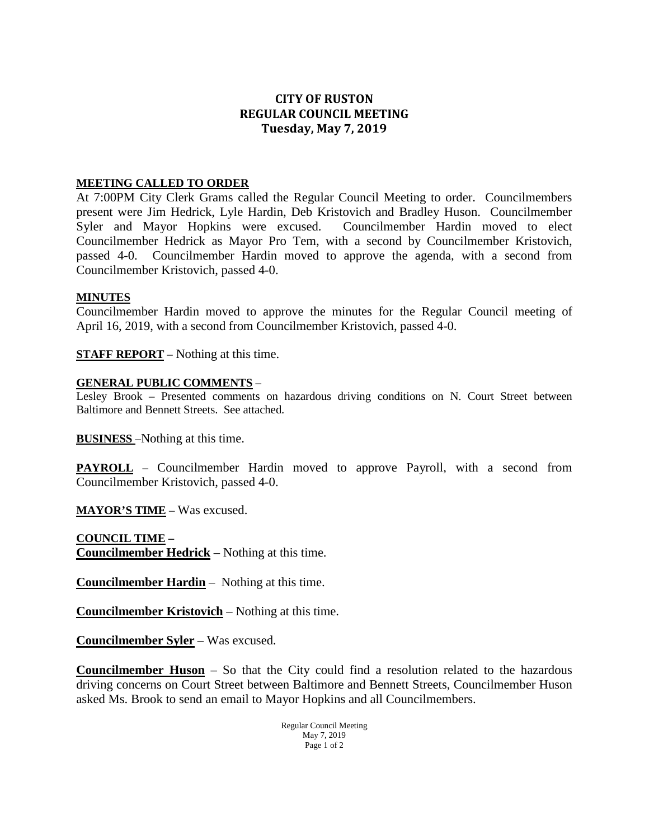# **CITY OF RUSTON REGULAR COUNCIL MEETING Tuesday, May 7, 2019**

## **MEETING CALLED TO ORDER**

At 7:00PM City Clerk Grams called the Regular Council Meeting to order. Councilmembers present were Jim Hedrick, Lyle Hardin, Deb Kristovich and Bradley Huson. Councilmember Syler and Mayor Hopkins were excused. Councilmember Hardin moved to elect Councilmember Hedrick as Mayor Pro Tem, with a second by Councilmember Kristovich, passed 4-0. Councilmember Hardin moved to approve the agenda, with a second from Councilmember Kristovich, passed 4-0.

#### **MINUTES**

Councilmember Hardin moved to approve the minutes for the Regular Council meeting of April 16, 2019, with a second from Councilmember Kristovich, passed 4-0.

**STAFF REPORT** – Nothing at this time.

## **GENERAL PUBLIC COMMENTS** –

Lesley Brook – Presented comments on hazardous driving conditions on N. Court Street between Baltimore and Bennett Streets. See attached.

**BUSINESS** –Nothing at this time.

**PAYROLL** – Councilmember Hardin moved to approve Payroll, with a second from Councilmember Kristovich, passed 4-0.

**MAYOR'S TIME** – Was excused.

**COUNCIL TIME – Councilmember Hedrick** – Nothing at this time.

**Councilmember Hardin** – Nothing at this time.

**Councilmember Kristovich** – Nothing at this time.

**Councilmember Syler** – Was excused.

**Councilmember Huson** – So that the City could find a resolution related to the hazardous driving concerns on Court Street between Baltimore and Bennett Streets, Councilmember Huson asked Ms. Brook to send an email to Mayor Hopkins and all Councilmembers.

> Regular Council Meeting May 7, 2019 Page 1 of 2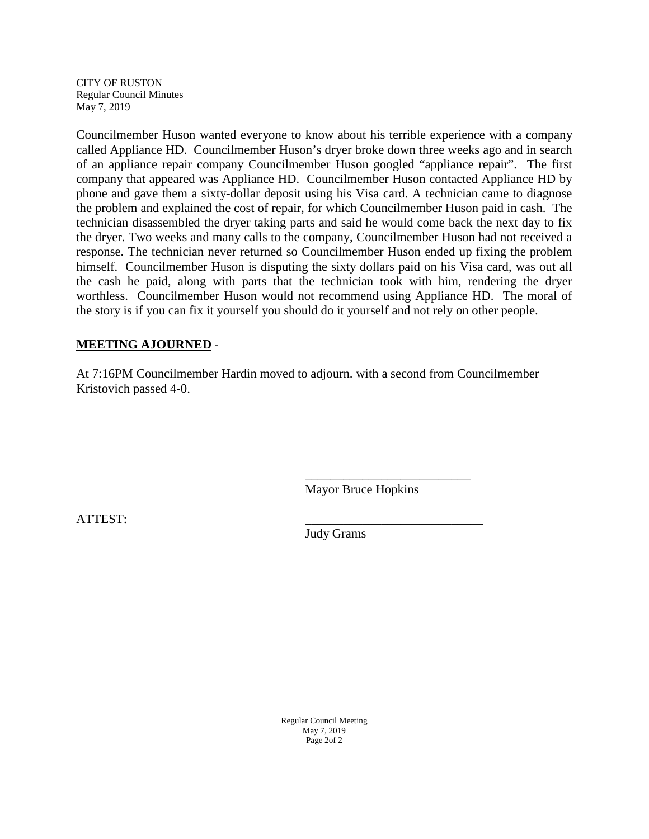CITY OF RUSTON Regular Council Minutes May 7, 2019

Councilmember Huson wanted everyone to know about his terrible experience with a company called Appliance HD. Councilmember Huson's dryer broke down three weeks ago and in search of an appliance repair company Councilmember Huson googled "appliance repair". The first company that appeared was Appliance HD. Councilmember Huson contacted Appliance HD by phone and gave them a sixty-dollar deposit using his Visa card. A technician came to diagnose the problem and explained the cost of repair, for which Councilmember Huson paid in cash. The technician disassembled the dryer taking parts and said he would come back the next day to fix the dryer. Two weeks and many calls to the company, Councilmember Huson had not received a response. The technician never returned so Councilmember Huson ended up fixing the problem himself. Councilmember Huson is disputing the sixty dollars paid on his Visa card, was out all the cash he paid, along with parts that the technician took with him, rendering the dryer worthless. Councilmember Huson would not recommend using Appliance HD. The moral of the story is if you can fix it yourself you should do it yourself and not rely on other people.

# **MEETING AJOURNED** -

At 7:16PM Councilmember Hardin moved to adjourn. with a second from Councilmember Kristovich passed 4-0.

Mayor Bruce Hopkins

\_\_\_\_\_\_\_\_\_\_\_\_\_\_\_\_\_\_\_\_\_\_\_\_\_\_

ATTEST: \_\_\_\_\_\_\_\_\_\_\_\_\_\_\_\_\_\_\_\_\_\_\_\_\_\_\_\_

Judy Grams

Regular Council Meeting May 7, 2019 Page 2of 2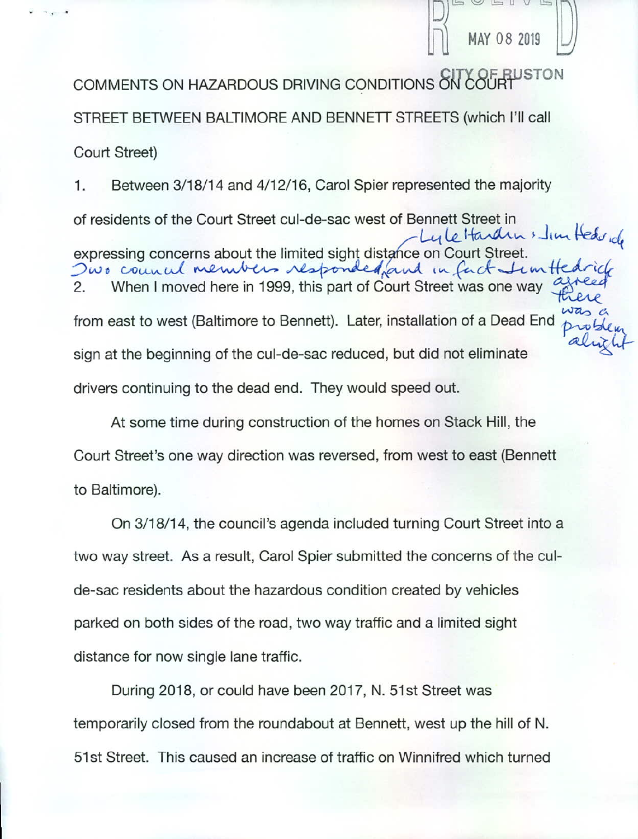COMMENTS ON HAZARDOUS DRIVING CONDITIONS ON COURT STON STREET BETWEEN BALTIMORE AND BENNETT STREETS (which I'll call Court Street)

MAY 08 2019

Between 3/18/14 and 4/12/16, Carol Spier represented the majority 1. of residents of the Court Street cul-de-sac west of Bennett Street in uleHardin stim Hedrich expressing concerns about the limited sight distance on Court Street. Owo council members responded, and in fact timeth When I moved here in 1999, this part of Court Street was one way 2. from east to west (Baltimore to Bennett). Later, installation of a Dead End sign at the beginning of the cul-de-sac reduced, but did not eliminate drivers continuing to the dead end. They would speed out.

At some time during construction of the homes on Stack Hill, the Court Street's one way direction was reversed, from west to east (Bennett to Baltimore).

On 3/18/14, the council's agenda included turning Court Street into a two way street. As a result, Carol Spier submitted the concerns of the culde-sac residents about the hazardous condition created by vehicles parked on both sides of the road, two way traffic and a limited sight distance for now single lane traffic.

During 2018, or could have been 2017, N. 51st Street was temporarily closed from the roundabout at Bennett, west up the hill of N. 51st Street. This caused an increase of traffic on Winnifred which turned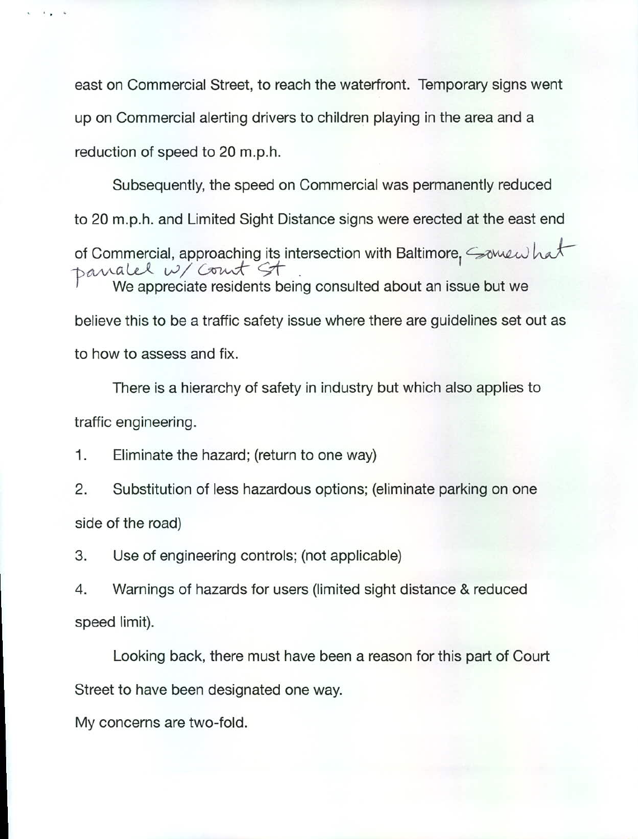east on Commercial Street, to reach the waterfront. Temporary signs went up on Commercial alerting drivers to children playing in the area and a reduction of speed to 20 m.p.h.

Subsequently, the speed on Commercial was permanently reduced to 20 m.p.h. and Limited Sight Distance signs were erected at the east end of Commercial, approaching its intersection with Baltimore, Somewhat Danalel W/Court St We appreciate residents being consulted about an issue but we believe this to be a traffic safety issue where there are guidelines set out as to how to assess and fix.

There is a hierarchy of safety in industry but which also applies to traffic engineering.

1. Eliminate the hazard; (return to one way)

2. Substitution of less hazardous options; (eliminate parking on one side of the road)

3. Use of engineering controls; (not applicable)

4. Warnings of hazards for users (limited sight distance & reduced speed limit).

Looking back, there must have been a reason for this part of Court Street to have been designated one way.

My concerns are two-fold.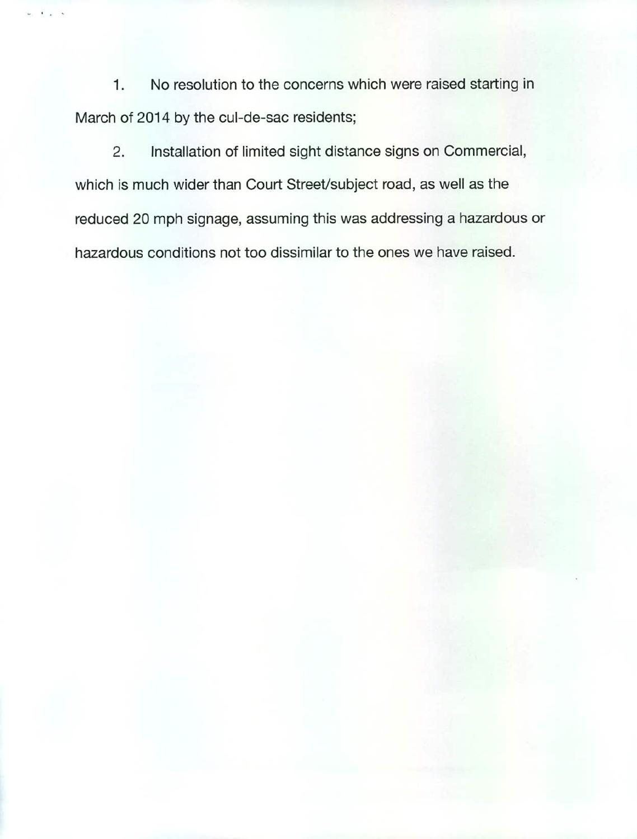No resolution to the concerns which were raised starting in  $1.$ March of 2014 by the cul-de-sac residents;

 $2.$ Installation of limited sight distance signs on Commercial, which is much wider than Court Street/subject road, as well as the reduced 20 mph signage, assuming this was addressing a hazardous or hazardous conditions not too dissimilar to the ones we have raised.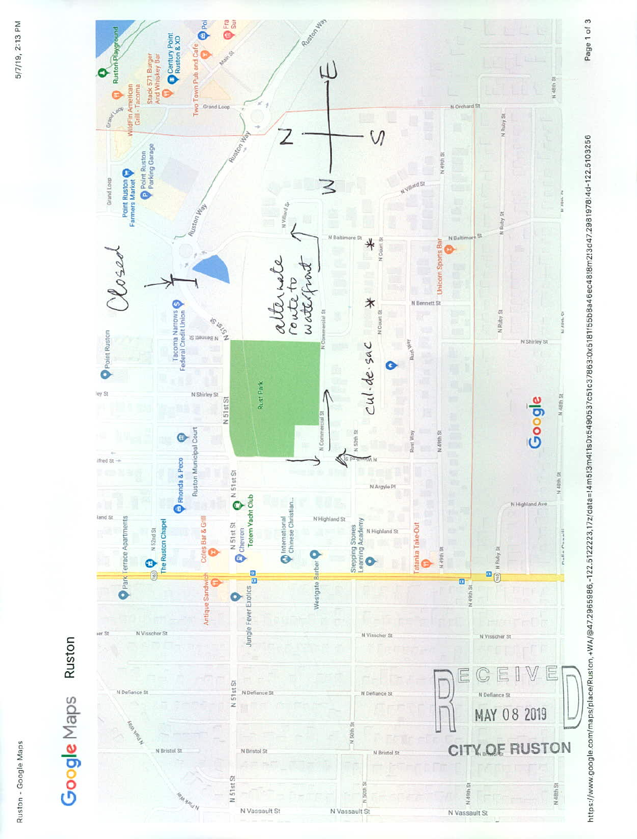

Ruston - Google Maps